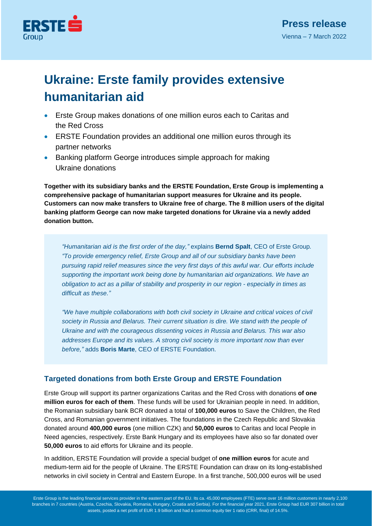

# **Ukraine: Erste family provides extensive humanitarian aid**

- Erste Group makes donations of one million euros each to Caritas and the Red Cross
- ERSTE Foundation provides an additional one million euros through its partner networks
- Banking platform George introduces simple approach for making Ukraine donations

**Together with its subsidiary banks and the ERSTE Foundation, Erste Group is implementing a comprehensive package of humanitarian support measures for Ukraine and its people. Customers can now make transfers to Ukraine free of charge. The 8 million users of the digital banking platform George can now make targeted donations for Ukraine via a newly added donation button.**

*"Humanitarian aid is the first order of the day,"* explains **Bernd Spalt**, CEO of Erste Group*. "To provide emergency relief, Erste Group and all of our subsidiary banks have been pursuing rapid relief measures since the very first days of this awful war. Our efforts include supporting the important work being done by humanitarian aid organizations. We have an obligation to act as a pillar of stability and prosperity in our region - especially in times as difficult as these."*

*"We have multiple collaborations with both civil society in Ukraine and critical voices of civil society in Russia and Belarus. Their current situation is dire. We stand with the people of Ukraine and with the courageous dissenting voices in Russia and Belarus. This war also addresses Europe and its values. A strong civil society is more important now than ever before,"* adds **Boris Marte**, CEO of ERSTE Foundation.

## **Targeted donations from both Erste Group and ERSTE Foundation**

Erste Group will support its partner organizations Caritas and the Red Cross with donations **of one million euros for each of them**. These funds will be used for Ukrainian people in need. In addition, the Romanian subsidiary bank BCR donated a total of **100,000 euros** to Save the Children, the Red Cross, and Romanian government initiatives. The foundations in the Czech Republic and Slovakia donated around **400,000 euros** (one million CZK) and **50,000 euros** to Caritas and local People in Need agencies, respectively. Erste Bank Hungary and its employees have also so far donated over **50,000 euros** to aid efforts for Ukraine and its people.

In addition, ERSTE Foundation will provide a special budget of **one million euros** for acute and medium-term aid for the people of Ukraine. The ERSTE Foundation can draw on its long-established networks in civil society in Central and Eastern Europe. In a first tranche, 500,000 euros will be used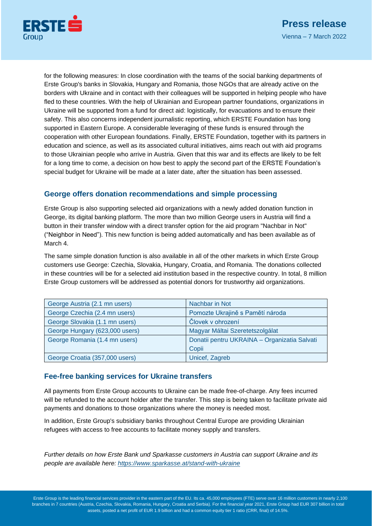

for the following measures: In close coordination with the teams of the social banking departments of Erste Group's banks in Slovakia, Hungary and Romania, those NGOs that are already active on the borders with Ukraine and in contact with their colleagues will be supported in helping people who have fled to these countries. With the help of Ukrainian and European partner foundations, organizations in Ukraine will be supported from a fund for direct aid: logistically, for evacuations and to ensure their safety. This also concerns independent journalistic reporting, which ERSTE Foundation has long supported in Eastern Europe. A considerable leveraging of these funds is ensured through the cooperation with other European foundations. Finally, ERSTE Foundation, together with its partners in education and science, as well as its associated cultural initiatives, aims reach out with aid programs to those Ukrainian people who arrive in Austria. Given that this war and its effects are likely to be felt for a long time to come, a decision on how best to apply the second part of the ERSTE Foundation's special budget for Ukraine will be made at a later date, after the situation has been assessed.

### **George offers donation recommendations and simple processing**

Erste Group is also supporting selected aid organizations with a newly added donation function in George, its digital banking platform. The more than two million George users in Austria will find a button in their transfer window with a direct transfer option for the aid program "Nachbar in Not" ("Neighbor in Need"). This new function is being added automatically and has been available as of March 4.

The same simple donation function is also available in all of the other markets in which Erste Group customers use George: Czechia, Slovakia, Hungary, Croatia, and Romania. The donations collected in these countries will be for a selected aid institution based in the respective country. In total, 8 million Erste Group customers will be addressed as potential donors for trustworthy aid organizations.

| George Austria (2.1 mn users)  | Nachbar in Not                               |
|--------------------------------|----------------------------------------------|
| George Czechia (2.4 mn users)  | Pomozte Ukrajině s Pamětí národa             |
| George Slovakia (1.1 mn users) | Človek v ohrození                            |
| George Hungary (623,000 users) | Magyar Máltai Szeretetszolgálat              |
| George Romania (1.4 mn users)  | Donatii pentru UKRAINA - Organizatia Salvati |
|                                | Copii                                        |
| George Croatia (357,000 users) | Unicef, Zagreb                               |

### **Fee-free banking services for Ukraine transfers**

All payments from Erste Group accounts to Ukraine can be made free-of-charge. Any fees incurred will be refunded to the account holder after the transfer. This step is being taken to facilitate private aid payments and donations to those organizations where the money is needed most.

In addition, Erste Group's subsidiary banks throughout Central Europe are providing Ukrainian refugees with access to free accounts to facilitate money supply and transfers.

*Further details on how Erste Bank und Sparkasse customers in Austria can support Ukraine and its people are available here: <https://www.sparkasse.at/stand-with-ukraine>*